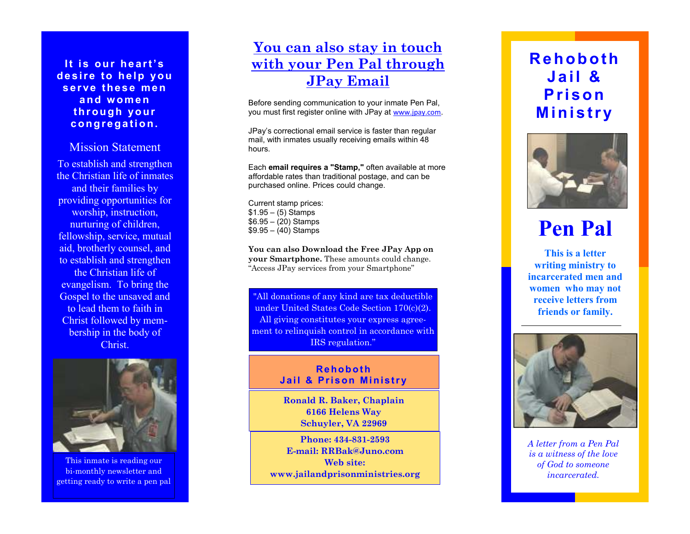#### **<sup>I</sup> t i <sup>s</sup> our he <sup>a</sup> <sup>r</sup> t' <sup>s</sup> de <sup>s</sup> <sup>i</sup> <sup>r</sup> <sup>e</sup> to he <sup>l</sup> p you <sup>s</sup> <sup>e</sup> <sup>r</sup> ve the <sup>s</sup> <sup>e</sup> me <sup>n</sup> <sup>a</sup> nd w ome <sup>n</sup> thr ou gh yo ur <sup>c</sup> ong <sup>r</sup> <sup>e</sup> ga ti <sup>o</sup> n.**

### Mission Statement

To establish and strengthen the Christian life of inmates and their families by providing opportunities for worship, instruction, nurturing of children, fellowship, service, mutual aid, brotherly counsel, and to establish and strengthen the Christian life of evangelism. To bring the Gospel to the unsaved and to lead them to faith in Christ followed by membership in the body of Christ.



This inmate is reading our bi-monthly newsletter and getting ready to write a pen pal

## **You can also stay in touch with your Pen Pal through JPay Email**

Before sending communication to your inmate Pen Pal, you must first register online with JPay at www.jpay.com.

JPay's correctional email service is faster than regular mail, with inmates usually receiving emails within 48 hours.

Each **email requires a "Stamp,"** often available at more affordable rates than traditional postage, and can be purchased online. Prices could change.

Current stamp prices: $$1.95 - (5)$  Stamps \$6.95 – (20) Stamps\$9.95 – (40) Stamps

**You can also Download the Free JPay App on your Smartphone.** These amounts could change. "Access JPay services from your Smartphone"

"All donations of any kind are tax deductible under United States Code Section 170(c)(2). All giving constitutes your express agreement to relinquish control in accordance with IRS regulation."

#### **Rehobot <sup>h</sup> Jai <sup>l</sup> & Pr <sup>i</sup> son Mi nist <sup>r</sup> <sup>y</sup>**

**Ronald R. Baker, Chaplain 6166 Helens Way Schuyler, VA 22969** 

**Phone: 434-831-2593 E-mail: RRBak@Juno.com Web site: www.jailandprisonministries.org** 

## **<sup>R</sup> <sup>e</sup> <sup>h</sup> <sup>o</sup> <sup>b</sup> <sup>o</sup> <sup>t</sup> <sup>h</sup> <sup>J</sup> <sup>a</sup> <sup>i</sup> <sup>l</sup> & <sup>P</sup> <sup>r</sup> <sup>i</sup> so <sup>n</sup> <sup>M</sup> <sup>i</sup> <sup>n</sup> <sup>i</sup> <sup>s</sup> <sup>t</sup> <sup>r</sup> <sup>y</sup>**



# **Pen Pal**

**This is a letter writing ministry to incarcerated men and women who may not receive letters from friends or family.** 



*A letter from a Pen Pal is a witness of the love of God to someone incarcerated.*